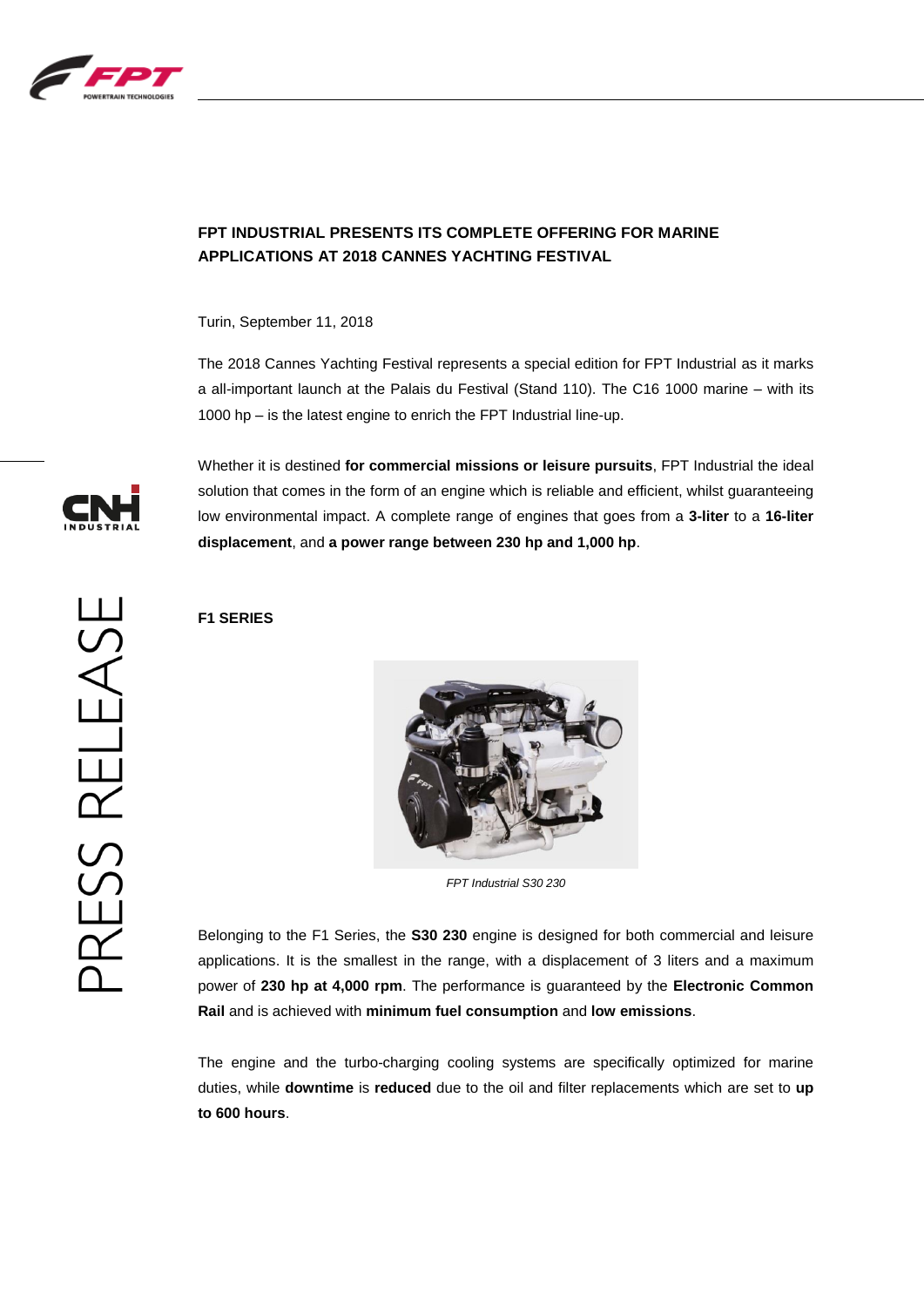

# **FPT INDUSTRIAL PRESENTS ITS COMPLETE OFFERING FOR MARINE APPLICATIONS AT 2018 CANNES YACHTING FESTIVAL**

Turin, September 11, 2018

The 2018 Cannes Yachting Festival represents a special edition for FPT Industrial as it marks a all-important launch at the Palais du Festival (Stand 110). The C16 1000 marine – with its 1000 hp – is the latest engine to enrich the FPT Industrial line-up.



Whether it is destined **for commercial missions or leisure pursuits**, FPT Industrial the ideal solution that comes in the form of an engine which is reliable and efficient, whilst guaranteeing low environmental impact. A complete range of engines that goes from a **3-liter** to a **16-liter displacement**, and **a power range between 230 hp and 1,000 hp**.

# PRESS RELEASE

**F1 SERIES**



*FPT Industrial S30 230*

Belonging to the F1 Series, the **S30 230** engine is designed for both commercial and leisure applications. It is the smallest in the range, with a displacement of 3 liters and a maximum power of **230 hp at 4,000 rpm**. The performance is guaranteed by the **Electronic Common Rail** and is achieved with **minimum fuel consumption** and **low emissions**.

The engine and the turbo-charging cooling systems are specifically optimized for marine duties, while **downtime** is **reduced** due to the oil and filter replacements which are set to **up to 600 hours**.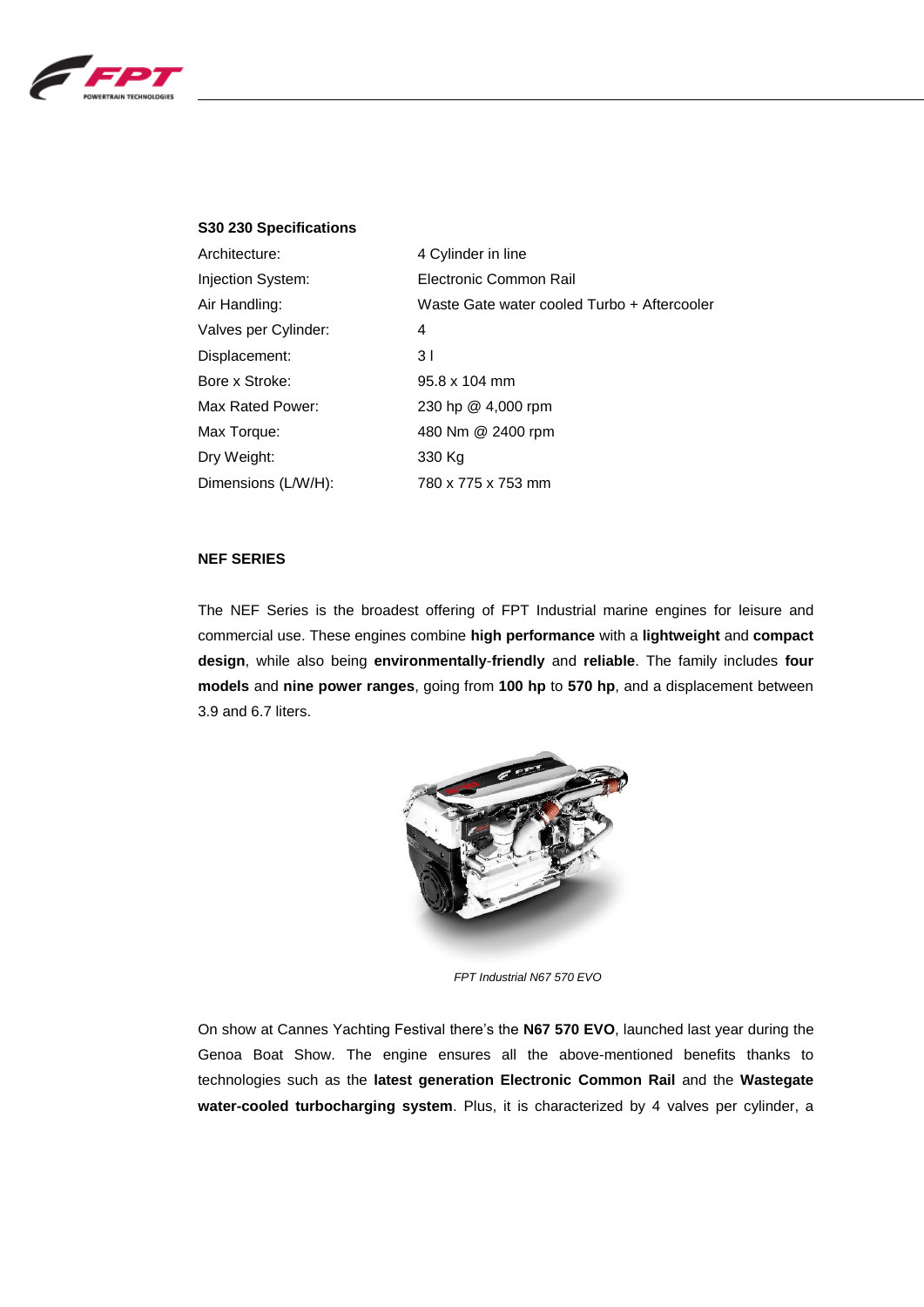

# **S30 230 Specifications**

| Architecture:        | 4 Cylinder in line                          |
|----------------------|---------------------------------------------|
| Injection System:    | Electronic Common Rail                      |
| Air Handling:        | Waste Gate water cooled Turbo + Aftercooler |
| Valves per Cylinder: | 4                                           |
| Displacement:        | 3 I                                         |
| Bore x Stroke:       | $95.8 \times 104$ mm                        |
| Max Rated Power:     | 230 hp @ 4,000 rpm                          |
| Max Torque:          | 480 Nm @ 2400 rpm                           |
| Dry Weight:          | 330 Kg                                      |
| Dimensions (L/W/H):  | 780 x 775 x 753 mm                          |

# **NEF SERIES**

The NEF Series is the broadest offering of FPT Industrial marine engines for leisure and commercial use. These engines combine **high performance** with a **lightweight** and **compact design**, while also being **environmentally**-**friendly** and **reliable**. The family includes **four models** and **nine power ranges**, going from **100 hp** to **570 hp**, and a displacement between 3.9 and 6.7 liters.



*FPT Industrial N67 570 EVO*

On show at Cannes Yachting Festival there's the **N67 570 EVO**, launched last year during the Genoa Boat Show. The engine ensures all the above-mentioned benefits thanks to technologies such as the **latest generation Electronic Common Rail** and the **Wastegate water-cooled turbocharging system**. Plus, it is characterized by 4 valves per cylinder, a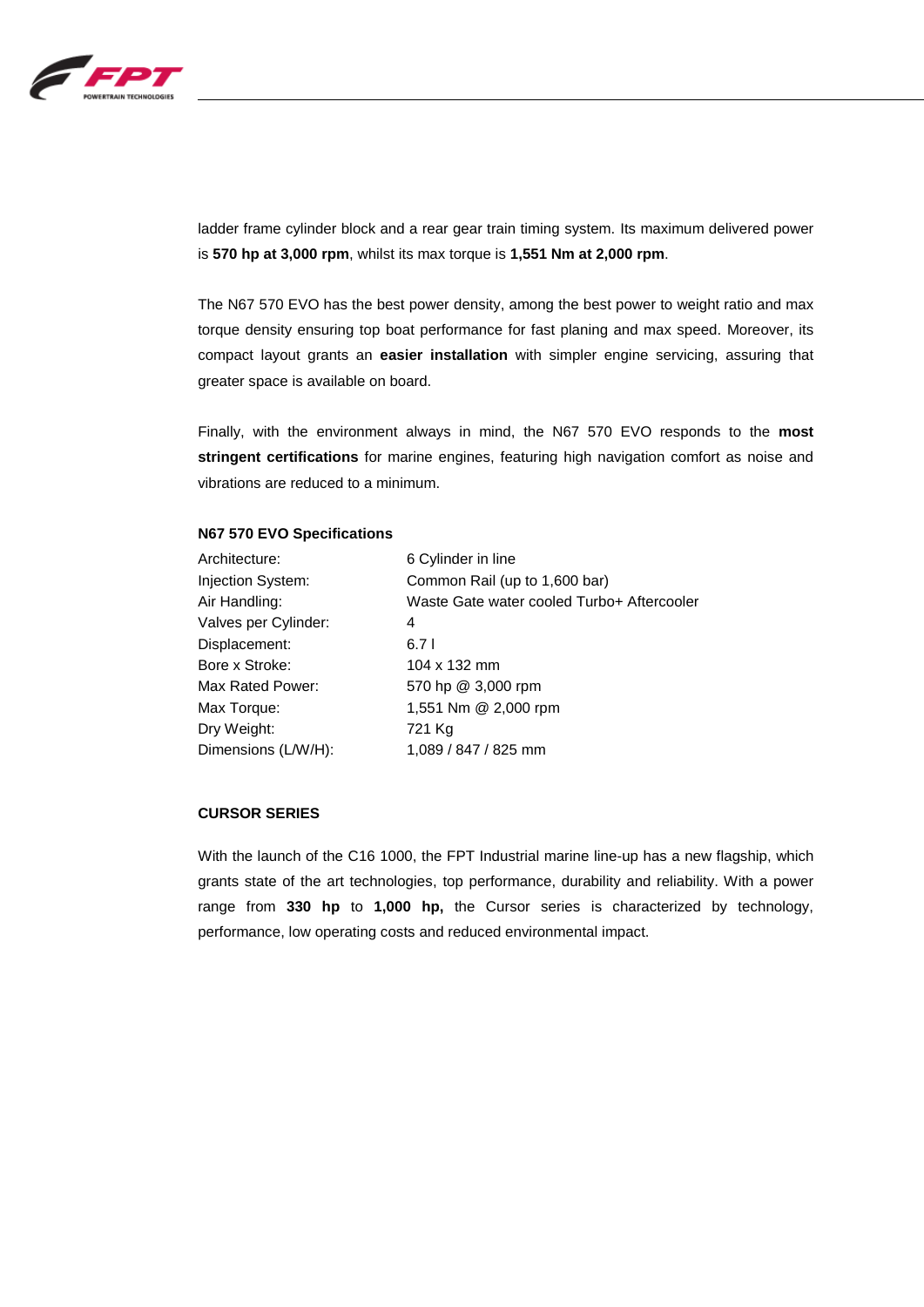

ladder frame cylinder block and a rear gear train timing system. Its maximum delivered power is **570 hp at 3,000 rpm**, whilst its max torque is **1,551 Nm at 2,000 rpm**.

The N67 570 EVO has the best power density, among the best power to weight ratio and max torque density ensuring top boat performance for fast planing and max speed. Moreover, its compact layout grants an **easier installation** with simpler engine servicing, assuring that greater space is available on board.

Finally, with the environment always in mind, the N67 570 EVO responds to the **most stringent certifications** for marine engines, featuring high navigation comfort as noise and vibrations are reduced to a minimum.

### **N67 570 EVO Specifications**

| Architecture:        | 6 Cylinder in line                         |
|----------------------|--------------------------------------------|
| Injection System:    | Common Rail (up to 1,600 bar)              |
| Air Handling:        | Waste Gate water cooled Turbo+ Aftercooler |
| Valves per Cylinder: | 4                                          |
| Displacement:        | 6.71                                       |
| Bore x Stroke:       | $104 \times 132$ mm                        |
| Max Rated Power:     | 570 hp @ 3,000 rpm                         |
| Max Torque:          | 1,551 Nm @ 2,000 rpm                       |
| Dry Weight:          | 721 Kg                                     |
| Dimensions (L/W/H):  | 1,089 / 847 / 825 mm                       |

# **CURSOR SERIES**

With the launch of the C16 1000, the FPT Industrial marine line-up has a new flagship, which grants state of the art technologies, top performance, durability and reliability. With a power range from **330 hp** to **1,000 hp,** the Cursor series is characterized by technology, performance, low operating costs and reduced environmental impact.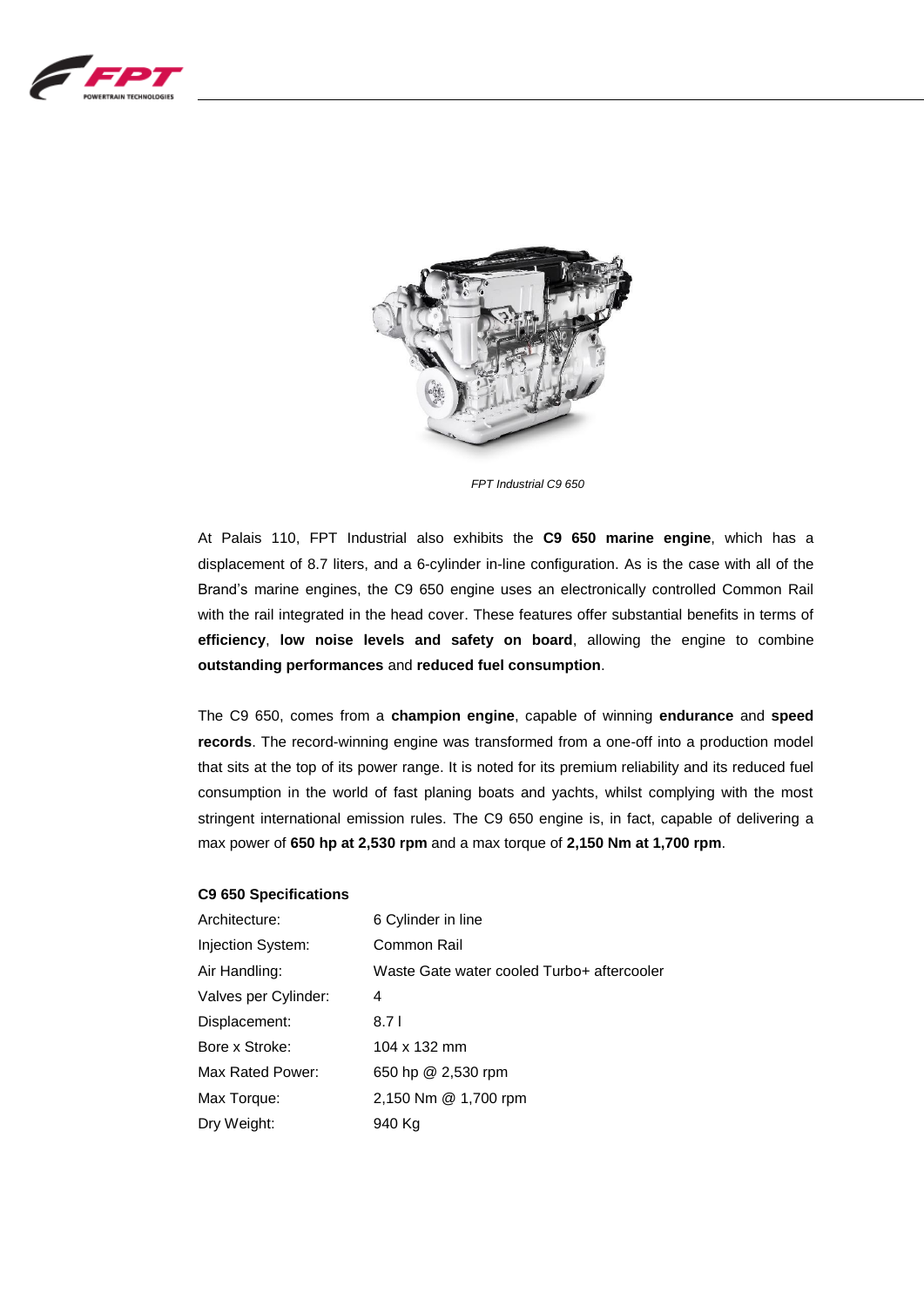



*FPT Industrial C9 650*

At Palais 110, FPT Industrial also exhibits the **C9 650 marine engine**, which has a displacement of 8.7 liters, and a 6-cylinder in-line configuration. As is the case with all of the Brand's marine engines, the C9 650 engine uses an electronically controlled Common Rail with the rail integrated in the head cover. These features offer substantial benefits in terms of **efficiency**, **low noise levels and safety on board**, allowing the engine to combine **outstanding performances** and **reduced fuel consumption**.

The C9 650, comes from a **champion engine**, capable of winning **endurance** and **speed records**. The record-winning engine was transformed from a one-off into a production model that sits at the top of its power range. It is noted for its premium reliability and its reduced fuel consumption in the world of fast planing boats and yachts, whilst complying with the most stringent international emission rules. The C9 650 engine is, in fact, capable of delivering a max power of **650 hp at 2,530 rpm** and a max torque of **2,150 Nm at 1,700 rpm**.

# **C9 650 Specifications**

| Architecture:        | 6 Cylinder in line                         |
|----------------------|--------------------------------------------|
| Injection System:    | Common Rail                                |
| Air Handling:        | Waste Gate water cooled Turbo+ aftercooler |
| Valves per Cylinder: | 4                                          |
| Displacement:        | 8.7 I                                      |
| Bore x Stroke:       | 104 x 132 mm                               |
| Max Rated Power:     | 650 hp @ 2,530 rpm                         |
| Max Torque:          | 2,150 Nm @ 1,700 rpm                       |
| Dry Weight:          | 940 Kg                                     |